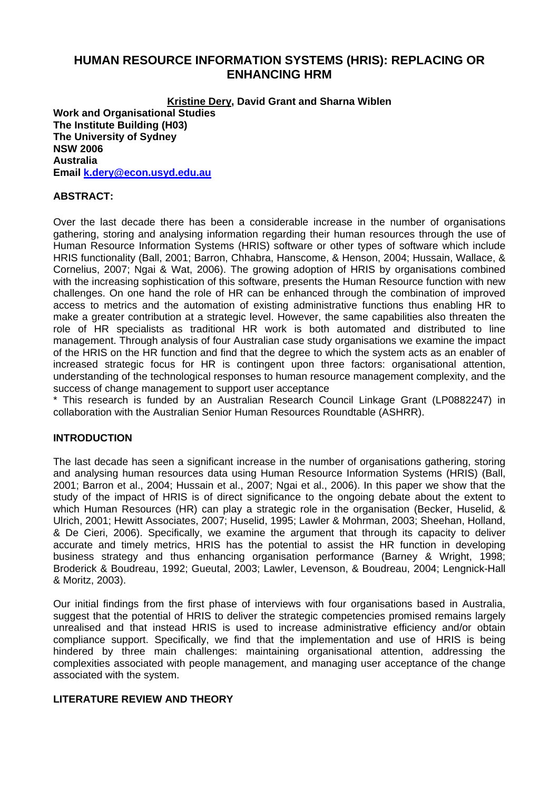# **HUMAN RESOURCE INFORMATION SYSTEMS (HRIS): REPLACING OR ENHANCING HRM**

**Kristine Dery, David Grant and Sharna Wiblen Work and Organisational Studies The Institute Building (H03) The University of Sydney NSW 2006 Australia Email k.dery@econ.usyd.edu.au**

#### **ABSTRACT:**

Over the last decade there has been a considerable increase in the number of organisations gathering, storing and analysing information regarding their human resources through the use of Human Resource Information Systems (HRIS) software or other types of software which include HRIS functionality (Ball, 2001; Barron, Chhabra, Hanscome, & Henson, 2004; Hussain, Wallace, & Cornelius, 2007; Ngai & Wat, 2006). The growing adoption of HRIS by organisations combined with the increasing sophistication of this software, presents the Human Resource function with new challenges. On one hand the role of HR can be enhanced through the combination of improved access to metrics and the automation of existing administrative functions thus enabling HR to make a greater contribution at a strategic level. However, the same capabilities also threaten the role of HR specialists as traditional HR work is both automated and distributed to line management. Through analysis of four Australian case study organisations we examine the impact of the HRIS on the HR function and find that the degree to which the system acts as an enabler of increased strategic focus for HR is contingent upon three factors: organisational attention, understanding of the technological responses to human resource management complexity, and the success of change management to support user acceptance

\* This research is funded by an Australian Research Council Linkage Grant (LP0882247) in collaboration with the Australian Senior Human Resources Roundtable (ASHRR).

#### **INTRODUCTION**

The last decade has seen a significant increase in the number of organisations gathering, storing and analysing human resources data using Human Resource Information Systems (HRIS) (Ball, 2001; Barron et al., 2004; Hussain et al., 2007; Ngai et al., 2006). In this paper we show that the study of the impact of HRIS is of direct significance to the ongoing debate about the extent to which Human Resources (HR) can play a strategic role in the organisation (Becker, Huselid, & Ulrich, 2001; Hewitt Associates, 2007; Huselid, 1995; Lawler & Mohrman, 2003; Sheehan, Holland, & De Cieri, 2006). Specifically, we examine the argument that through its capacity to deliver accurate and timely metrics, HRIS has the potential to assist the HR function in developing business strategy and thus enhancing organisation performance (Barney & Wright, 1998; Broderick & Boudreau, 1992; Gueutal, 2003; Lawler, Levenson, & Boudreau, 2004; Lengnick-Hall & Moritz, 2003).

Our initial findings from the first phase of interviews with four organisations based in Australia, suggest that the potential of HRIS to deliver the strategic competencies promised remains largely unrealised and that instead HRIS is used to increase administrative efficiency and/or obtain compliance support. Specifically, we find that the implementation and use of HRIS is being hindered by three main challenges: maintaining organisational attention, addressing the complexities associated with people management, and managing user acceptance of the change associated with the system.

#### **LITERATURE REVIEW AND THEORY**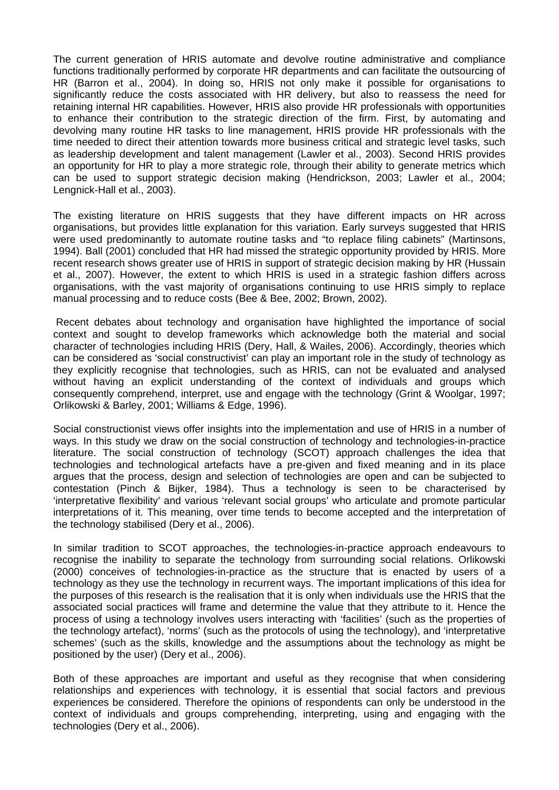The current generation of HRIS automate and devolve routine administrative and compliance functions traditionally performed by corporate HR departments and can facilitate the outsourcing of HR (Barron et al., 2004). In doing so, HRIS not only make it possible for organisations to significantly reduce the costs associated with HR delivery, but also to reassess the need for retaining internal HR capabilities. However, HRIS also provide HR professionals with opportunities to enhance their contribution to the strategic direction of the firm. First, by automating and devolving many routine HR tasks to line management, HRIS provide HR professionals with the time needed to direct their attention towards more business critical and strategic level tasks, such as leadership development and talent management (Lawler et al., 2003). Second HRIS provides an opportunity for HR to play a more strategic role, through their ability to generate metrics which can be used to support strategic decision making (Hendrickson, 2003; Lawler et al., 2004; Lengnick-Hall et al., 2003).

The existing literature on HRIS suggests that they have different impacts on HR across organisations, but provides little explanation for this variation. Early surveys suggested that HRIS were used predominantly to automate routine tasks and "to replace filing cabinets" (Martinsons, 1994). Ball (2001) concluded that HR had missed the strategic opportunity provided by HRIS. More recent research shows greater use of HRIS in support of strategic decision making by HR (Hussain et al., 2007). However, the extent to which HRIS is used in a strategic fashion differs across organisations, with the vast majority of organisations continuing to use HRIS simply to replace manual processing and to reduce costs (Bee & Bee, 2002; Brown, 2002).

 Recent debates about technology and organisation have highlighted the importance of social context and sought to develop frameworks which acknowledge both the material and social character of technologies including HRIS (Dery, Hall, & Wailes, 2006). Accordingly, theories which can be considered as 'social constructivist' can play an important role in the study of technology as they explicitly recognise that technologies, such as HRIS, can not be evaluated and analysed without having an explicit understanding of the context of individuals and groups which consequently comprehend, interpret, use and engage with the technology (Grint & Woolgar, 1997; Orlikowski & Barley, 2001; Williams & Edge, 1996).

Social constructionist views offer insights into the implementation and use of HRIS in a number of ways. In this study we draw on the social construction of technology and technologies-in-practice literature. The social construction of technology (SCOT) approach challenges the idea that technologies and technological artefacts have a pre-given and fixed meaning and in its place argues that the process, design and selection of technologies are open and can be subjected to contestation (Pinch & Bijker, 1984). Thus a technology is seen to be characterised by 'interpretative flexibility' and various 'relevant social groups' who articulate and promote particular interpretations of it. This meaning, over time tends to become accepted and the interpretation of the technology stabilised (Dery et al., 2006).

In similar tradition to SCOT approaches, the technologies-in-practice approach endeavours to recognise the inability to separate the technology from surrounding social relations. Orlikowski (2000) conceives of technologies-in-practice as the structure that is enacted by users of a technology as they use the technology in recurrent ways. The important implications of this idea for the purposes of this research is the realisation that it is only when individuals use the HRIS that the associated social practices will frame and determine the value that they attribute to it. Hence the process of using a technology involves users interacting with 'facilities' (such as the properties of the technology artefact), 'norms' (such as the protocols of using the technology), and 'interpretative schemes' (such as the skills, knowledge and the assumptions about the technology as might be positioned by the user) (Dery et al., 2006).

Both of these approaches are important and useful as they recognise that when considering relationships and experiences with technology, it is essential that social factors and previous experiences be considered. Therefore the opinions of respondents can only be understood in the context of individuals and groups comprehending, interpreting, using and engaging with the technologies (Dery et al., 2006).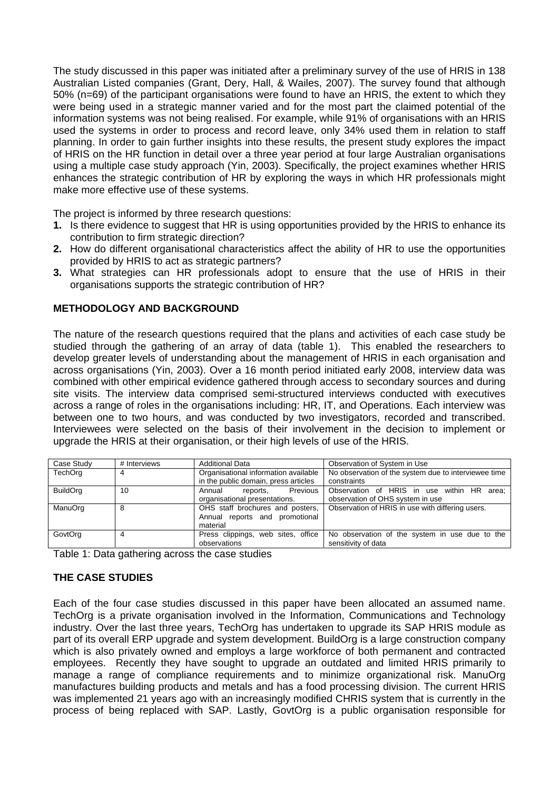The study discussed in this paper was initiated after a preliminary survey of the use of HRIS in 138 Australian Listed companies (Grant, Dery, Hall, & Wailes, 2007). The survey found that although 50% (n=69) of the participant organisations were found to have an HRIS, the extent to which they were being used in a strategic manner varied and for the most part the claimed potential of the information systems was not being realised. For example, while 91% of organisations with an HRIS used the systems in order to process and record leave, only 34% used them in relation to staff planning. In order to gain further insights into these results, the present study explores the impact of HRIS on the HR function in detail over a three year period at four large Australian organisations using a multiple case study approach (Yin, 2003). Specifically, the project examines whether HRIS enhances the strategic contribution of HR by exploring the ways in which HR professionals might make more effective use of these systems.

The project is informed by three research questions:

- **1.** Is there evidence to suggest that HR is using opportunities provided by the HRIS to enhance its contribution to firm strategic direction?
- **2.** How do different organisational characteristics affect the ability of HR to use the opportunities provided by HRIS to act as strategic partners?
- **3.** What strategies can HR professionals adopt to ensure that the use of HRIS in their organisations supports the strategic contribution of HR?

### **METHODOLOGY AND BACKGROUND**

The nature of the research questions required that the plans and activities of each case study be studied through the gathering of an array of data (table 1). This enabled the researchers to develop greater levels of understanding about the management of HRIS in each organisation and across organisations (Yin, 2003). Over a 16 month period initiated early 2008, interview data was combined with other empirical evidence gathered through access to secondary sources and during site visits. The interview data comprised semi-structured interviews conducted with executives across a range of roles in the organisations including: HR, IT, and Operations. Each interview was between one to two hours, and was conducted by two investigators, recorded and transcribed. Interviewees were selected on the basis of their involvement in the decision to implement or upgrade the HRIS at their organisation, or their high levels of use of the HRIS.

| Case Study      | # Interviews | <b>Additional Data</b>               | Observation of System in Use                         |
|-----------------|--------------|--------------------------------------|------------------------------------------------------|
| TechOrg         | 4            | Organisational information available | No observation of the system due to interviewee time |
|                 |              | in the public domain, press articles | constraints                                          |
| <b>BuildOrg</b> | 10           | Previous<br>Annual<br>reports.       | Observation of HRIS in use within HR area:           |
|                 |              | organisational presentations.        | observation of OHS system in use                     |
| ManuOrg         | 8            | OHS staff brochures and posters,     | Observation of HRIS in use with differing users.     |
|                 |              | Annual reports and promotional       |                                                      |
|                 |              | material                             |                                                      |
| GovtOrg         |              | Press clippings, web sites, office   | No observation of the system in use due to the       |
|                 |              | observations                         | sensitivity of data                                  |
|                 |              |                                      |                                                      |

Table 1: Data gathering across the case studies

# **THE CASE STUDIES**

Each of the four case studies discussed in this paper have been allocated an assumed name. TechOrg is a private organisation involved in the Information, Communications and Technology industry. Over the last three years, TechOrg has undertaken to upgrade its SAP HRIS module as part of its overall ERP upgrade and system development. BuildOrg is a large construction company which is also privately owned and employs a large workforce of both permanent and contracted employees. Recently they have sought to upgrade an outdated and limited HRIS primarily to manage a range of compliance requirements and to minimize organizational risk. ManuOrg manufactures building products and metals and has a food processing division. The current HRIS was implemented 21 years ago with an increasingly modified CHRIS system that is currently in the process of being replaced with SAP. Lastly, GovtOrg is a public organisation responsible for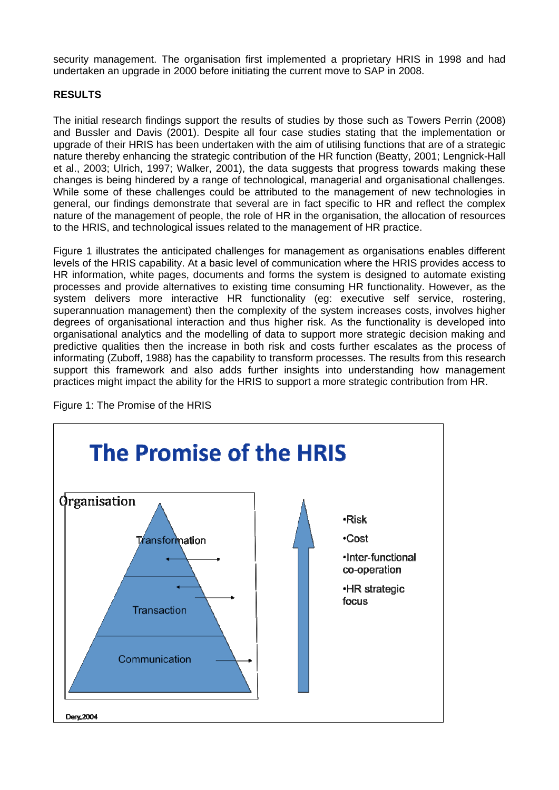security management. The organisation first implemented a proprietary HRIS in 1998 and had undertaken an upgrade in 2000 before initiating the current move to SAP in 2008.

#### **RESULTS**

The initial research findings support the results of studies by those such as Towers Perrin (2008) and Bussler and Davis (2001). Despite all four case studies stating that the implementation or upgrade of their HRIS has been undertaken with the aim of utilising functions that are of a strategic nature thereby enhancing the strategic contribution of the HR function (Beatty, 2001; Lengnick-Hall et al., 2003; Ulrich, 1997; Walker, 2001), the data suggests that progress towards making these changes is being hindered by a range of technological, managerial and organisational challenges. While some of these challenges could be attributed to the management of new technologies in general, our findings demonstrate that several are in fact specific to HR and reflect the complex nature of the management of people, the role of HR in the organisation, the allocation of resources to the HRIS, and technological issues related to the management of HR practice.

Figure 1 illustrates the anticipated challenges for management as organisations enables different levels of the HRIS capability. At a basic level of communication where the HRIS provides access to HR information, white pages, documents and forms the system is designed to automate existing processes and provide alternatives to existing time consuming HR functionality. However, as the system delivers more interactive HR functionality (eg: executive self service, rostering, superannuation management) then the complexity of the system increases costs, involves higher degrees of organisational interaction and thus higher risk. As the functionality is developed into organisational analytics and the modelling of data to support more strategic decision making and predictive qualities then the increase in both risk and costs further escalates as the process of informating (Zuboff, 1988) has the capability to transform processes. The results from this research support this framework and also adds further insights into understanding how management practices might impact the ability for the HRIS to support a more strategic contribution from HR.



Figure 1: The Promise of the HRIS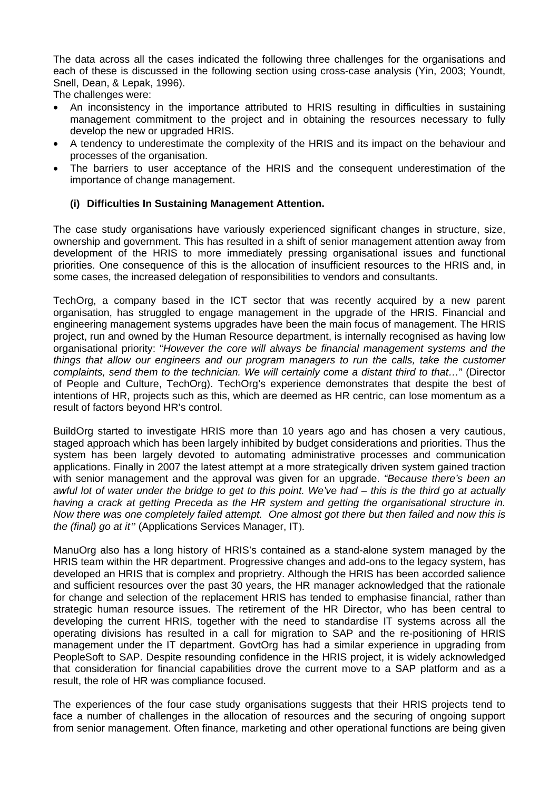The data across all the cases indicated the following three challenges for the organisations and each of these is discussed in the following section using cross-case analysis (Yin, 2003; Youndt, Snell, Dean, & Lepak, 1996).

The challenges were:

- An inconsistency in the importance attributed to HRIS resulting in difficulties in sustaining management commitment to the project and in obtaining the resources necessary to fully develop the new or upgraded HRIS.
- A tendency to underestimate the complexity of the HRIS and its impact on the behaviour and processes of the organisation.
- The barriers to user acceptance of the HRIS and the consequent underestimation of the importance of change management.

### **(i) Difficulties In Sustaining Management Attention.**

The case study organisations have variously experienced significant changes in structure, size, ownership and government. This has resulted in a shift of senior management attention away from development of the HRIS to more immediately pressing organisational issues and functional priorities. One consequence of this is the allocation of insufficient resources to the HRIS and, in some cases, the increased delegation of responsibilities to vendors and consultants.

TechOrg, a company based in the ICT sector that was recently acquired by a new parent organisation, has struggled to engage management in the upgrade of the HRIS. Financial and engineering management systems upgrades have been the main focus of management. The HRIS project, run and owned by the Human Resource department, is internally recognised as having low organisational priority: "*However the core will always be financial management systems and the things that allow our engineers and our program managers to run the calls, take the customer complaints, send them to the technician. We will certainly come a distant third to that…*" (Director of People and Culture, TechOrg). TechOrg's experience demonstrates that despite the best of intentions of HR, projects such as this, which are deemed as HR centric, can lose momentum as a result of factors beyond HR's control.

BuildOrg started to investigate HRIS more than 10 years ago and has chosen a very cautious, staged approach which has been largely inhibited by budget considerations and priorities. Thus the system has been largely devoted to automating administrative processes and communication applications. Finally in 2007 the latest attempt at a more strategically driven system gained traction with senior management and the approval was given for an upgrade. *"Because there's been an awful lot of water under the bridge to get to this point. We've had – this is the third go at actually having a crack at getting Preceda as the HR system and getting the organisational structure in. Now there was one completely failed attempt. One almost got there but then failed and now this is the (final) go at it"* (Applications Services Manager, IT).

ManuOrg also has a long history of HRIS's contained as a stand-alone system managed by the HRIS team within the HR department. Progressive changes and add-ons to the legacy system, has developed an HRIS that is complex and proprietry. Although the HRIS has been accorded salience and sufficient resources over the past 30 years, the HR manager acknowledged that the rationale for change and selection of the replacement HRIS has tended to emphasise financial, rather than strategic human resource issues. The retirement of the HR Director, who has been central to developing the current HRIS, together with the need to standardise IT systems across all the operating divisions has resulted in a call for migration to SAP and the re-positioning of HRIS management under the IT department. GovtOrg has had a similar experience in upgrading from PeopleSoft to SAP. Despite resounding confidence in the HRIS project, it is widely acknowledged that consideration for financial capabilities drove the current move to a SAP platform and as a result, the role of HR was compliance focused.

The experiences of the four case study organisations suggests that their HRIS projects tend to face a number of challenges in the allocation of resources and the securing of ongoing support from senior management. Often finance, marketing and other operational functions are being given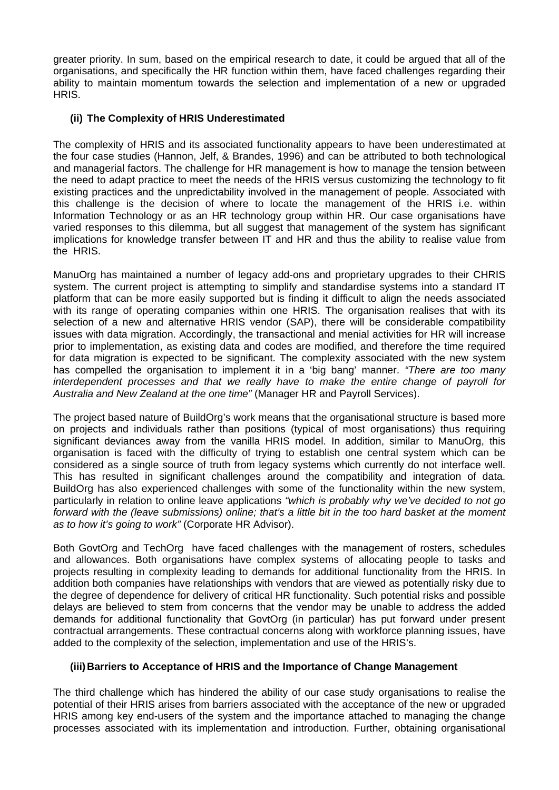greater priority. In sum, based on the empirical research to date, it could be argued that all of the organisations, and specifically the HR function within them, have faced challenges regarding their ability to maintain momentum towards the selection and implementation of a new or upgraded HRIS.

# **(ii) The Complexity of HRIS Underestimated**

The complexity of HRIS and its associated functionality appears to have been underestimated at the four case studies (Hannon, Jelf, & Brandes, 1996) and can be attributed to both technological and managerial factors. The challenge for HR management is how to manage the tension between the need to adapt practice to meet the needs of the HRIS versus customizing the technology to fit existing practices and the unpredictability involved in the management of people. Associated with this challenge is the decision of where to locate the management of the HRIS i.e. within Information Technology or as an HR technology group within HR. Our case organisations have varied responses to this dilemma, but all suggest that management of the system has significant implications for knowledge transfer between IT and HR and thus the ability to realise value from the HRIS.

ManuOrg has maintained a number of legacy add-ons and proprietary upgrades to their CHRIS system. The current project is attempting to simplify and standardise systems into a standard IT platform that can be more easily supported but is finding it difficult to align the needs associated with its range of operating companies within one HRIS. The organisation realises that with its selection of a new and alternative HRIS vendor (SAP), there will be considerable compatibility issues with data migration. Accordingly, the transactional and menial activities for HR will increase prior to implementation, as existing data and codes are modified, and therefore the time required for data migration is expected to be significant. The complexity associated with the new system has compelled the organisation to implement it in a 'big bang' manner. *"There are too many interdependent processes and that we really have to make the entire change of payroll for Australia and New Zealand at the one time"* (Manager HR and Payroll Services).

The project based nature of BuildOrg's work means that the organisational structure is based more on projects and individuals rather than positions (typical of most organisations) thus requiring significant deviances away from the vanilla HRIS model. In addition, similar to ManuOrg, this organisation is faced with the difficulty of trying to establish one central system which can be considered as a single source of truth from legacy systems which currently do not interface well. This has resulted in significant challenges around the compatibility and integration of data. BuildOrg has also experienced challenges with some of the functionality within the new system, particularly in relation to online leave applications *"which is probably why we've decided to not go forward with the (leave submissions) online; that's a little bit in the too hard basket at the moment as to how it's going to work"* (Corporate HR Advisor).

Both GovtOrg and TechOrg have faced challenges with the management of rosters, schedules and allowances. Both organisations have complex systems of allocating people to tasks and projects resulting in complexity leading to demands for additional functionality from the HRIS. In addition both companies have relationships with vendors that are viewed as potentially risky due to the degree of dependence for delivery of critical HR functionality. Such potential risks and possible delays are believed to stem from concerns that the vendor may be unable to address the added demands for additional functionality that GovtOrg (in particular) has put forward under present contractual arrangements. These contractual concerns along with workforce planning issues, have added to the complexity of the selection, implementation and use of the HRIS's.

#### **(iii)Barriers to Acceptance of HRIS and the Importance of Change Management**

The third challenge which has hindered the ability of our case study organisations to realise the potential of their HRIS arises from barriers associated with the acceptance of the new or upgraded HRIS among key end-users of the system and the importance attached to managing the change processes associated with its implementation and introduction. Further, obtaining organisational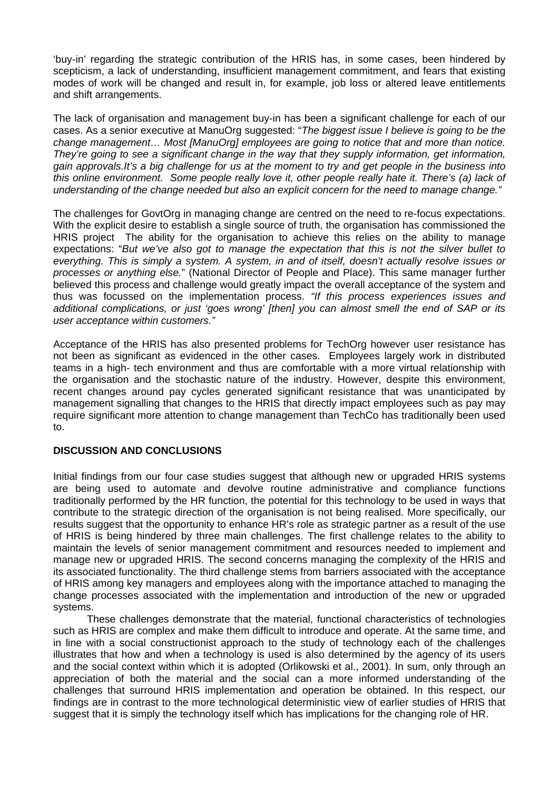'buy-in' regarding the strategic contribution of the HRIS has, in some cases, been hindered by scepticism, a lack of understanding, insufficient management commitment, and fears that existing modes of work will be changed and result in, for example, job loss or altered leave entitlements and shift arrangements.

The lack of organisation and management buy-in has been a significant challenge for each of our cases. As a senior executive at ManuOrg suggested: "*The biggest issue I believe is going to be the change management… Most [ManuOrg] employees are going to notice that and more than notice. They're going to see a significant change in the way that they supply information, get information, gain approvals.It's a big challenge for us at the moment to try and get people in the business into this online environment. Some people really love it, other people really hate it. There's (a) lack of understanding of the change needed but also an explicit concern for the need to manage change."* 

The challenges for GovtOrg in managing change are centred on the need to re-focus expectations. With the explicit desire to establish a single source of truth, the organisation has commissioned the HRIS project The ability for the organisation to achieve this relies on the ability to manage expectations: "*But we've also got to manage the expectation that this is not the silver bullet to everything. This is simply a system. A system, in and of itself, doesn't actually resolve issues or processes or anything else.*" (National Director of People and Place). This same manager further believed this process and challenge would greatly impact the overall acceptance of the system and thus was focussed on the implementation process. *"If this process experiences issues and additional complications, or just 'goes wrong' [then] you can almost smell the end of SAP or its user acceptance within customers."* 

Acceptance of the HRIS has also presented problems for TechOrg however user resistance has not been as significant as evidenced in the other cases. Employees largely work in distributed teams in a high- tech environment and thus are comfortable with a more virtual relationship with the organisation and the stochastic nature of the industry. However, despite this environment, recent changes around pay cycles generated significant resistance that was unanticipated by management signalling that changes to the HRIS that directly impact employees such as pay may require significant more attention to change management than TechCo has traditionally been used to.

#### **DISCUSSION AND CONCLUSIONS**

Initial findings from our four case studies suggest that although new or upgraded HRIS systems are being used to automate and devolve routine administrative and compliance functions traditionally performed by the HR function, the potential for this technology to be used in ways that contribute to the strategic direction of the organisation is not being realised. More specifically, our results suggest that the opportunity to enhance HR's role as strategic partner as a result of the use of HRIS is being hindered by three main challenges. The first challenge relates to the ability to maintain the levels of senior management commitment and resources needed to implement and manage new or upgraded HRIS. The second concerns managing the complexity of the HRIS and its associated functionality. The third challenge stems from barriers associated with the acceptance of HRIS among key managers and employees along with the importance attached to managing the change processes associated with the implementation and introduction of the new or upgraded systems.

These challenges demonstrate that the material, functional characteristics of technologies such as HRIS are complex and make them difficult to introduce and operate. At the same time, and in line with a social constructionist approach to the study of technology each of the challenges illustrates that how and when a technology is used is also determined by the agency of its users and the social context within which it is adopted (Orlikowski et al., 2001). In sum, only through an appreciation of both the material and the social can a more informed understanding of the challenges that surround HRIS implementation and operation be obtained. In this respect, our findings are in contrast to the more technological deterministic view of earlier studies of HRIS that suggest that it is simply the technology itself which has implications for the changing role of HR.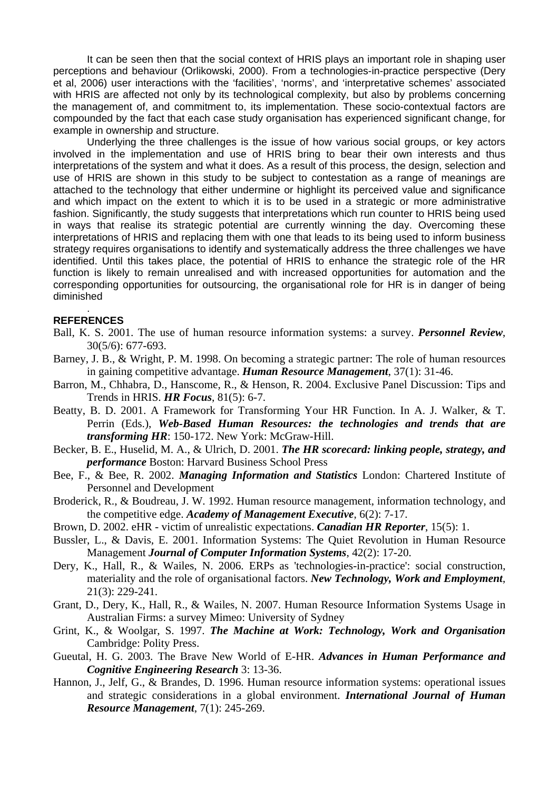It can be seen then that the social context of HRIS plays an important role in shaping user perceptions and behaviour (Orlikowski, 2000). From a technologies-in-practice perspective (Dery et al, 2006) user interactions with the 'facilities', 'norms', and 'interpretative schemes' associated with HRIS are affected not only by its technological complexity, but also by problems concerning the management of, and commitment to, its implementation. These socio-contextual factors are compounded by the fact that each case study organisation has experienced significant change, for example in ownership and structure.

Underlying the three challenges is the issue of how various social groups, or key actors involved in the implementation and use of HRIS bring to bear their own interests and thus interpretations of the system and what it does. As a result of this process, the design, selection and use of HRIS are shown in this study to be subject to contestation as a range of meanings are attached to the technology that either undermine or highlight its perceived value and significance and which impact on the extent to which it is to be used in a strategic or more administrative fashion. Significantly, the study suggests that interpretations which run counter to HRIS being used in ways that realise its strategic potential are currently winning the day. Overcoming these interpretations of HRIS and replacing them with one that leads to its being used to inform business strategy requires organisations to identify and systematically address the three challenges we have identified. Until this takes place, the potential of HRIS to enhance the strategic role of the HR function is likely to remain unrealised and with increased opportunities for automation and the corresponding opportunities for outsourcing, the organisational role for HR is in danger of being diminished

#### . **REFERENCES**

- Ball, K. S. 2001. The use of human resource information systems: a survey. *Personnel Review*, 30(5/6): 677-693.
- Barney, J. B., & Wright, P. M. 1998. On becoming a strategic partner: The role of human resources in gaining competitive advantage. *Human Resource Management*, 37(1): 31-46.
- Barron, M., Chhabra, D., Hanscome, R., & Henson, R. 2004. Exclusive Panel Discussion: Tips and Trends in HRIS. *HR Focus*, 81(5): 6-7.
- Beatty, B. D. 2001. A Framework for Transforming Your HR Function. In A. J. Walker, & T. Perrin (Eds.), *Web-Based Human Resources: the technologies and trends that are transforming HR*: 150-172. New York: McGraw-Hill.
- Becker, B. E., Huselid, M. A., & Ulrich, D. 2001. *The HR scorecard: linking people, strategy, and performance* Boston: Harvard Business School Press
- Bee, F., & Bee, R. 2002. *Managing Information and Statistics* London: Chartered Institute of Personnel and Development
- Broderick, R., & Boudreau, J. W. 1992. Human resource management, information technology, and the competitive edge. *Academy of Management Executive*, 6(2): 7-17.
- Brown, D. 2002. eHR victim of unrealistic expectations. *Canadian HR Reporter*, 15(5): 1.
- Bussler, L., & Davis, E. 2001. Information Systems: The Quiet Revolution in Human Resource Management *Journal of Computer Information Systems*, 42(2): 17-20.
- Dery, K., Hall, R., & Wailes, N. 2006. ERPs as 'technologies-in-practice': social construction, materiality and the role of organisational factors. *New Technology, Work and Employment*, 21(3): 229-241.
- Grant, D., Dery, K., Hall, R., & Wailes, N. 2007. Human Resource Information Systems Usage in Australian Firms: a survey Mimeo: University of Sydney
- Grint, K., & Woolgar, S. 1997. *The Machine at Work: Technology, Work and Organisation*  Cambridge: Polity Press.
- Gueutal, H. G. 2003. The Brave New World of E-HR. *Advances in Human Performance and Cognitive Engineering Research* 3: 13-36.
- Hannon, J., Jelf, G., & Brandes, D. 1996. Human resource information systems: operational issues and strategic considerations in a global environment. *International Journal of Human Resource Management*, 7(1): 245-269.